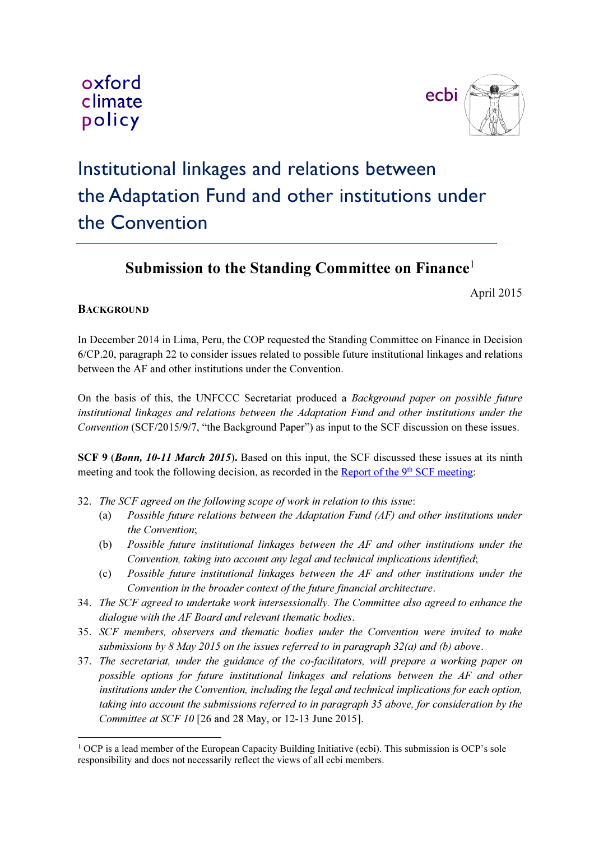



## Institutional linkages and relations between the Adaptation Fund and other institutions under the Convention

## Submission to the Standing Committee on Finance<sup>1</sup>

April 2015

## **BACKGROUND**

In December 2014 in Lima, Peru, the COP requested the Standing Committee on Finance in Decision 6/CP.20, paragraph 22 to consider issues related to possible future institutional linkages and relations between the AF and other institutions under the Convention.

On the basis of this, the UNFCCC Secretariat produced a Background paper on possible future institutional linkages and relations between the Adaptation Fund and other institutions under the Convention (SCF/2015/9/7, "the Background Paper") as input to the SCF discussion on these issues.

SCF 9 (Bonn, 10-11 March 2015). Based on this input, the SCF discussed these issues at its ninth meeting and took the following decision, as recorded in the Report of the 9<sup>th</sup> SCF meeting:

- 32. The SCF agreed on the following scope of work in relation to this issue:
	- (a) Possible future relations between the Adaptation Fund (AF) and other institutions under the Convention;
	- (b) Possible future institutional linkages between the AF and other institutions under the Convention, taking into account any legal and technical implications identified;
	- (c) Possible future institutional linkages between the AF and other institutions under the Convention in the broader context of the future financial architecture.
- 34. The SCF agreed to undertake work intersessionally. The Committee also agreed to enhance the dialogue with the AF Board and relevant thematic bodies.
- 35. SCF members, observers and thematic bodies under the Convention were invited to make submissions by 8 May 2015 on the issues referred to in paragraph  $32(a)$  and (b) above.
- 37. The secretariat, under the guidance of the co-facilitators, will prepare a working paper on possible options for future institutional linkages and relations between the AF and other institutions under the Convention, including the legal and technical implications for each option, taking into account the submissions referred to in paragraph 35 above, for consideration by the Committee at SCF 10 [26 and 28 May, or 12-13 June 2015].

 $\ddot{\phantom{a}}$ <sup>1</sup> OCP is a lead member of the European Capacity Building Initiative (ecbi). This submission is OCP's sole responsibility and does not necessarily reflect the views of all ecbi members.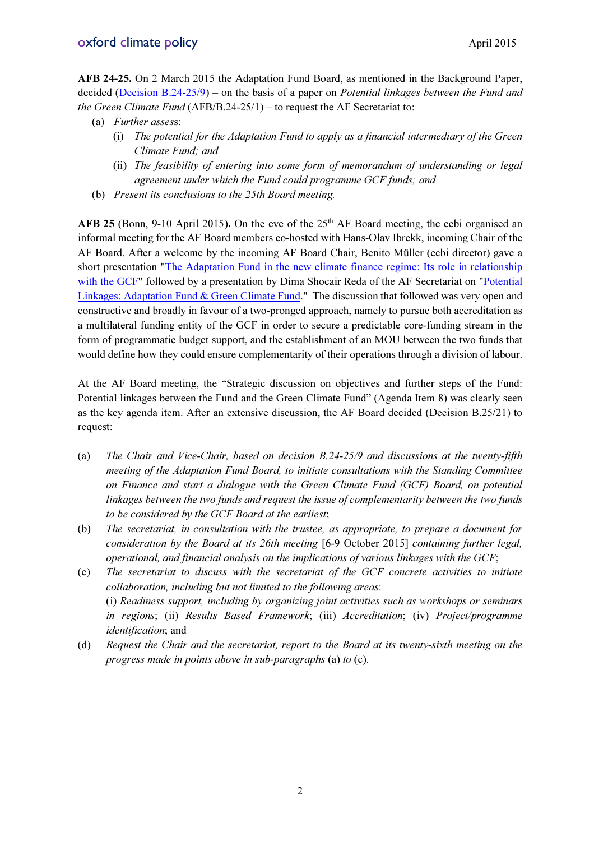AFB 24-25. On 2 March 2015 the Adaptation Fund Board, as mentioned in the Background Paper, decided ( $\overline{Decision B.24-25/9}$ ) – on the basis of a paper on *Potential linkages between the Fund and* the Green Climate Fund (AFB/B.24-25/1) – to request the AF Secretariat to:

- (a) Further assess:
	- (i) The potential for the Adaptation Fund to apply as a financial intermediary of the Green Climate Fund; and
	- (ii) The feasibility of entering into some form of memorandum of understanding or legal agreement under which the Fund could programme GCF funds; and
- (b) Present its conclusions to the 25th Board meeting.

AFB 25 (Bonn, 9-10 April 2015). On the eve of the  $25<sup>th</sup>$  AF Board meeting, the ecbi organised an informal meeting for the AF Board members co-hosted with Hans-Olav Ibrekk, incoming Chair of the AF Board. After a welcome by the incoming AF Board Chair, Benito Müller (ecbi director) gave a short presentation "The Adaptation Fund in the new climate finance regime: Its role in relationship with the GCF" followed by a presentation by Dima Shocair Reda of the AF Secretariat on "Potential" Linkages: Adaptation Fund & Green Climate Fund." The discussion that followed was very open and constructive and broadly in favour of a two-pronged approach, namely to pursue both accreditation as a multilateral funding entity of the GCF in order to secure a predictable core-funding stream in the form of programmatic budget support, and the establishment of an MOU between the two funds that would define how they could ensure complementarity of their operations through a division of labour.

At the AF Board meeting, the "Strategic discussion on objectives and further steps of the Fund: Potential linkages between the Fund and the Green Climate Fund" (Agenda Item 8) was clearly seen as the key agenda item. After an extensive discussion, the AF Board decided (Decision B.25/21) to request:

- (a) The Chair and Vice-Chair, based on decision B.24-25/9 and discussions at the twenty-fifth meeting of the Adaptation Fund Board, to initiate consultations with the Standing Committee on Finance and start a dialogue with the Green Climate Fund (GCF) Board, on potential linkages between the two funds and request the issue of complementarity between the two funds to be considered by the GCF Board at the earliest;
- (b) The secretariat, in consultation with the trustee, as appropriate, to prepare a document for consideration by the Board at its 26th meeting [6-9 October 2015] containing further legal, operational, and financial analysis on the implications of various linkages with the GCF;
- (c) The secretariat to discuss with the secretariat of the GCF concrete activities to initiate collaboration, including but not limited to the following areas: (i) Readiness support, including by organizing joint activities such as workshops or seminars in regions; (ii) Results Based Framework; (iii) Accreditation; (iv) Project/programme identification; and
- (d) Request the Chair and the secretariat, report to the Board at its twenty-sixth meeting on the progress made in points above in sub-paragraphs (a) to (c).